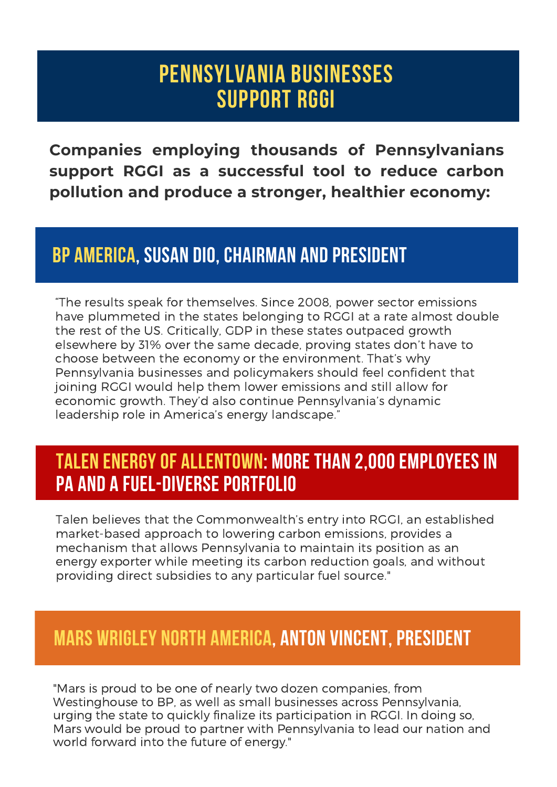# **Pennsylvania BUSINESSes SUPPORT RGGI**

**Companies employing thousands of Pennsylvanians support RGGI as a successful tool to reduce carbon pollution and produce a stronger, healthier economy:**

#### **BP AMERICA, SUSAN DIO, CHAIRMAN AND PRESIDENT**

"The results speak for themselves. Since 2008, power sector emissions have plummeted in the states belonging to RGGI at a rate almost double the rest of the US. Critically, GDP in these states outpaced growth elsewhere by 31% over the same decade, proving states don't have to choose between the economy or the environment. That's why Pennsylvania businesses and policymakers should feel confident that joining RGGI would help them lower emissions and still allow for economic growth. They'd also continue Pennsylvania's dynamic leadership role in America's energy landscape."

#### **TALEN ENERGYOF ALLENTOWN: MORE THAN 2,000EMPLOYEES IN PA AND A FUEL-DIVERSE PORTFOLIO**

Talen believes that the Commonwealth's entry into RGGI, an established market-based approach to lowering carbon emissions, provides a mechanism that allows Pennsylvania to maintain its position as an energy exporter while meeting its carbon reduction goals, and without providing direct subsidies to any particular fuel source."

## **MARS WRIGLEY NORTH AMERICA, ANTON VINCENT, PRESIDENT**

"Mars is proud to be one of nearly two dozen companies, from Westinghouse to BP, as well as small businesses across Pennsylvania, urging the state to quickly finalize its participation in RGGI. In doing so, Mars would be proud to partner with Pennsylvania to lead our nation and world forward into the future of energy."